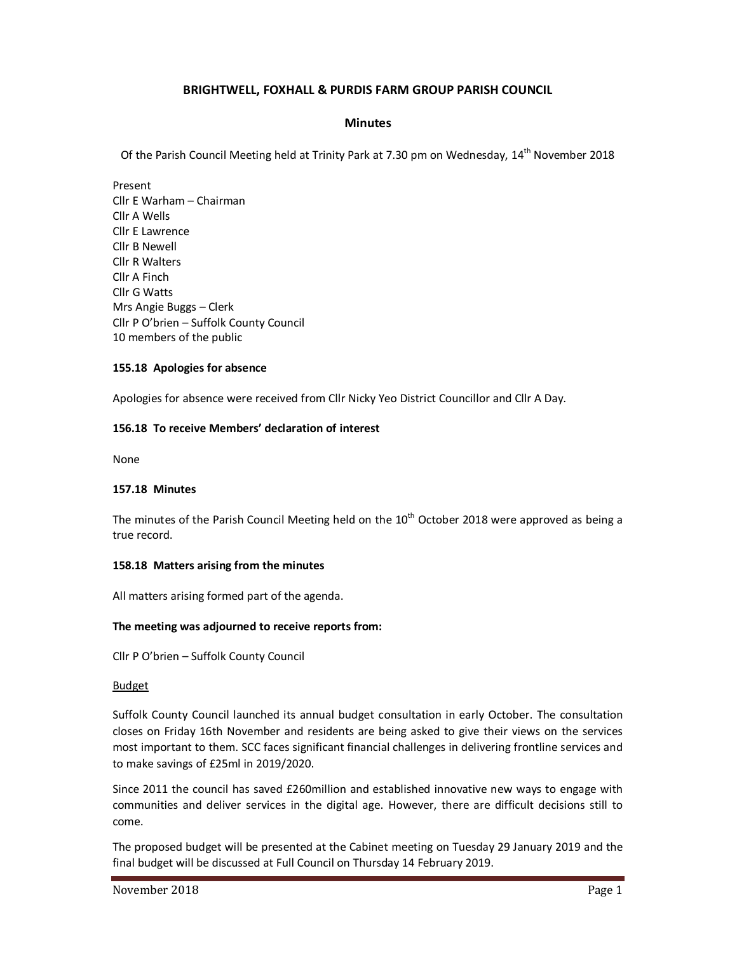# **BRIGHTWELL, FOXHALL & PURDIS FARM GROUP PARISH COUNCIL**

## **Minutes**

Of the Parish Council Meeting held at Trinity Park at 7.30 pm on Wednesday, 14<sup>th</sup> November 2018

Present Cllr E Warham – Chairman Cllr A Wells Cllr E Lawrence Cllr B Newell Cllr R Walters Cllr A Finch Cllr G Watts Mrs Angie Buggs – Clerk Cllr P O'brien – Suffolk County Council 10 members of the public

## **155.18 Apologies for absence**

Apologies for absence were received from Cllr Nicky Yeo District Councillor and Cllr A Day.

## **156.18 To receive Members' declaration of interest**

None

## **157.18 Minutes**

The minutes of the Parish Council Meeting held on the  $10<sup>th</sup>$  October 2018 were approved as being a true record.

## **158.18 Matters arising from the minutes**

All matters arising formed part of the agenda.

## **The meeting was adjourned to receive reports from:**

Cllr P O'brien – Suffolk County Council

## Budget

Suffolk County Council launched its annual budget consultation in early October. The consultation closes on Friday 16th November and residents are being asked to give their views on the services most important to them. SCC faces significant financial challenges in delivering frontline services and to make savings of £25ml in 2019/2020.

Since 2011 the council has saved £260million and established innovative new ways to engage with communities and deliver services in the digital age. However, there are difficult decisions still to come.

The proposed budget will be presented at the Cabinet meeting on Tuesday 29 January 2019 and the final budget will be discussed at Full Council on Thursday 14 February 2019.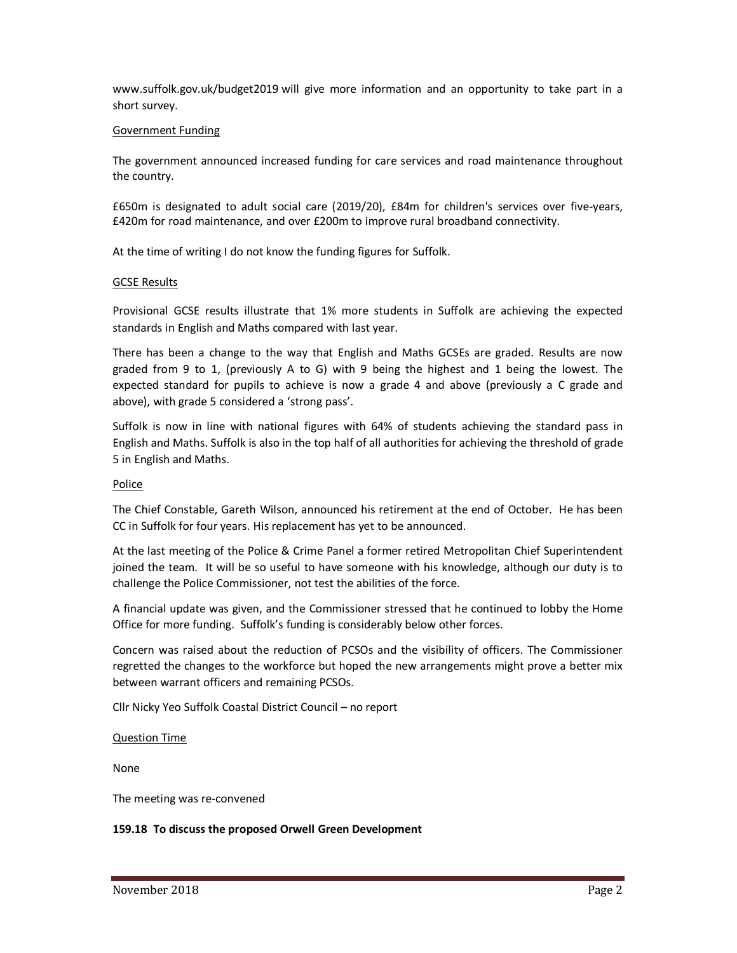www.suffolk.gov.uk/budget2019 will give more information and an opportunity to take part in a short survey.

## Government Funding

The government announced increased funding for care services and road maintenance throughout the country.

£650m is designated to adult social care (2019/20), £84m for children's services over five-years, £420m for road maintenance, and over £200m to improve rural broadband connectivity.

At the time of writing I do not know the funding figures for Suffolk.

## GCSE Results

Provisional GCSE results illustrate that 1% more students in Suffolk are achieving the expected standards in English and Maths compared with last year.

There has been a change to the way that English and Maths GCSEs are graded. Results are now graded from 9 to 1, (previously A to G) with 9 being the highest and 1 being the lowest. The expected standard for pupils to achieve is now a grade 4 and above (previously a C grade and above), with grade 5 considered a 'strong pass'.

Suffolk is now in line with national figures with 64% of students achieving the standard pass in English and Maths. Suffolk is also in the top half of all authorities for achieving the threshold of grade 5 in English and Maths.

## Police

The Chief Constable, Gareth Wilson, announced his retirement at the end of October. He has been CC in Suffolk for four years. His replacement has yet to be announced.

At the last meeting of the Police & Crime Panel a former retired Metropolitan Chief Superintendent joined the team. It will be so useful to have someone with his knowledge, although our duty is to challenge the Police Commissioner, not test the abilities of the force.

A financial update was given, and the Commissioner stressed that he continued to lobby the Home Office for more funding. Suffolk's funding is considerably below other forces.

Concern was raised about the reduction of PCSOs and the visibility of officers. The Commissioner regretted the changes to the workforce but hoped the new arrangements might prove a better mix between warrant officers and remaining PCSOs.

Cllr Nicky Yeo Suffolk Coastal District Council – no report

Question Time

None

The meeting was re-convened

## **159.18 To discuss the proposed Orwell Green Development**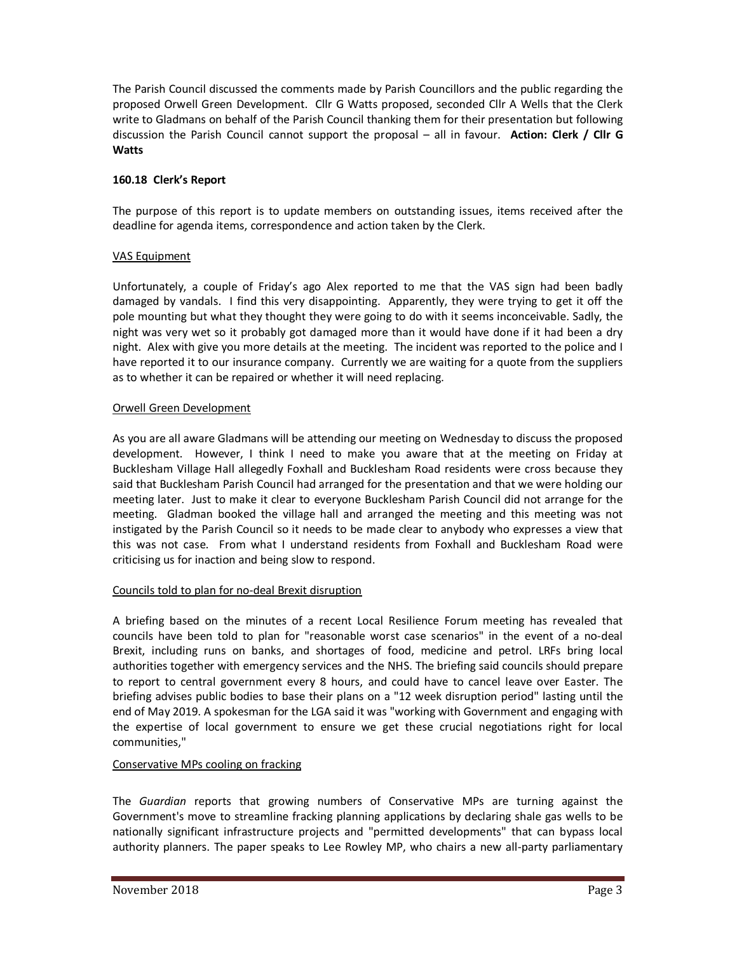The Parish Council discussed the comments made by Parish Councillors and the public regarding the proposed Orwell Green Development. Cllr G Watts proposed, seconded Cllr A Wells that the Clerk write to Gladmans on behalf of the Parish Council thanking them for their presentation but following discussion the Parish Council cannot support the proposal – all in favour. **Action: Clerk / Cllr G Watts** 

# **160.18 Clerk's Report**

The purpose of this report is to update members on outstanding issues, items received after the deadline for agenda items, correspondence and action taken by the Clerk.

# VAS Equipment

Unfortunately, a couple of Friday's ago Alex reported to me that the VAS sign had been badly damaged by vandals. I find this very disappointing. Apparently, they were trying to get it off the pole mounting but what they thought they were going to do with it seems inconceivable. Sadly, the night was very wet so it probably got damaged more than it would have done if it had been a dry night. Alex with give you more details at the meeting. The incident was reported to the police and I have reported it to our insurance company. Currently we are waiting for a quote from the suppliers as to whether it can be repaired or whether it will need replacing.

# Orwell Green Development

As you are all aware Gladmans will be attending our meeting on Wednesday to discuss the proposed development. However, I think I need to make you aware that at the meeting on Friday at Bucklesham Village Hall allegedly Foxhall and Bucklesham Road residents were cross because they said that Bucklesham Parish Council had arranged for the presentation and that we were holding our meeting later. Just to make it clear to everyone Bucklesham Parish Council did not arrange for the meeting. Gladman booked the village hall and arranged the meeting and this meeting was not instigated by the Parish Council so it needs to be made clear to anybody who expresses a view that this was not case. From what I understand residents from Foxhall and Bucklesham Road were criticising us for inaction and being slow to respond.

# Councils told to plan for no-deal Brexit disruption

A briefing based on the minutes of a recent Local Resilience Forum meeting has revealed that councils have been told to plan for "reasonable worst case scenarios" in the event of a no-deal Brexit, including runs on banks, and shortages of food, medicine and petrol. LRFs bring local authorities together with emergency services and the NHS. The briefing said councils should prepare to report to central government every 8 hours, and could have to cancel leave over Easter. The briefing advises public bodies to base their plans on a "12 week disruption period" lasting until the end of May 2019. A spokesman for the LGA said it was "working with Government and engaging with the expertise of local government to ensure we get these crucial negotiations right for local communities,"

# Conservative MPs cooling on fracking

The *Guardian* reports that growing numbers of Conservative MPs are turning against the Government's move to streamline fracking planning applications by declaring shale gas wells to be nationally significant infrastructure projects and "permitted developments" that can bypass local authority planners. The paper speaks to Lee Rowley MP, who chairs a new all-party parliamentary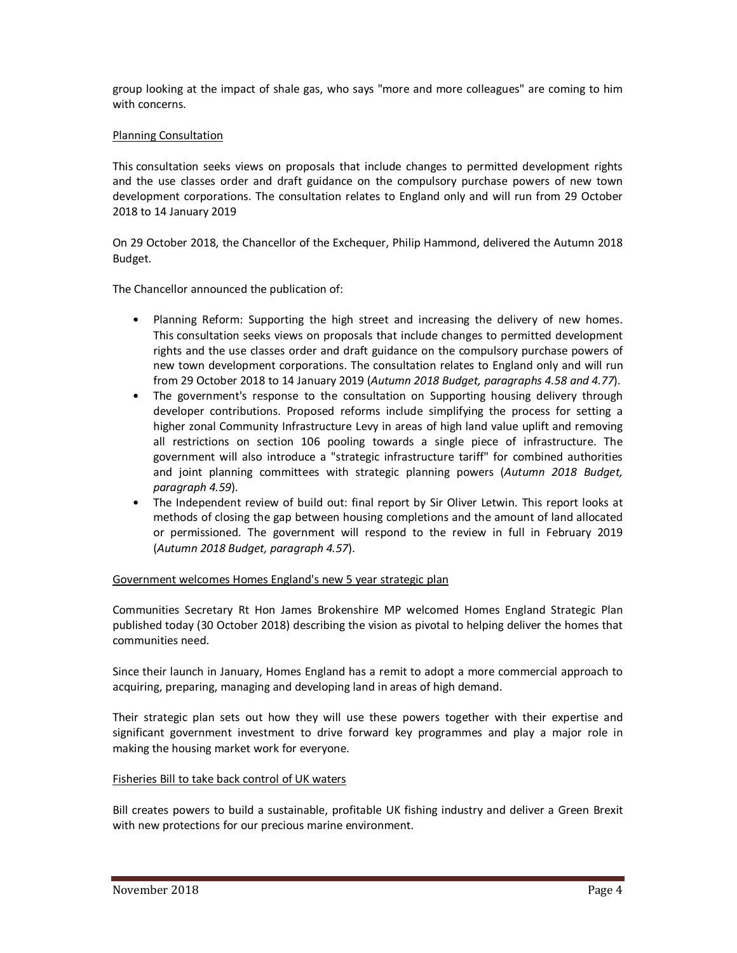group looking at the impact of shale gas, who says "more and more colleagues" are coming to him with concerns.

## Planning Consultation

This consultation seeks views on proposals that include changes to permitted development rights and the use classes order and draft guidance on the compulsory purchase powers of new town development corporations. The consultation relates to England only and will run from 29 October 2018 to 14 January 2019

On 29 October 2018, the Chancellor of the Exchequer, Philip Hammond, delivered the Autumn 2018 Budget.

The Chancellor announced the publication of:

- Planning Reform: Supporting the high street and increasing the delivery of new homes. This consultation seeks views on proposals that include changes to permitted development rights and the use classes order and draft guidance on the compulsory purchase powers of new town development corporations. The consultation relates to England only and will run from 29 October 2018 to 14 January 2019 (*Autumn 2018 Budget, paragraphs 4.58 and 4.77*).
- The government's response to the consultation on Supporting housing delivery through developer contributions. Proposed reforms include simplifying the process for setting a higher zonal Community Infrastructure Levy in areas of high land value uplift and removing all restrictions on section 106 pooling towards a single piece of infrastructure. The government will also introduce a "strategic infrastructure tariff" for combined authorities and joint planning committees with strategic planning powers (*Autumn 2018 Budget, paragraph 4.59*).
- The Independent review of build out: final report by Sir Oliver Letwin. This report looks at methods of closing the gap between housing completions and the amount of land allocated or permissioned. The government will respond to the review in full in February 2019 (*Autumn 2018 Budget, paragraph 4.57*).

Government welcomes Homes England's new 5 year strategic plan

Communities Secretary Rt Hon James Brokenshire MP welcomed Homes England Strategic Plan published today (30 October 2018) describing the vision as pivotal to helping deliver the homes that communities need.

Since their launch in January, Homes England has a remit to adopt a more commercial approach to acquiring, preparing, managing and developing land in areas of high demand.

Their strategic plan sets out how they will use these powers together with their expertise and significant government investment to drive forward key programmes and play a major role in making the housing market work for everyone.

# Fisheries Bill to take back control of UK waters

Bill creates powers to build a sustainable, profitable UK fishing industry and deliver a Green Brexit with new protections for our precious marine environment.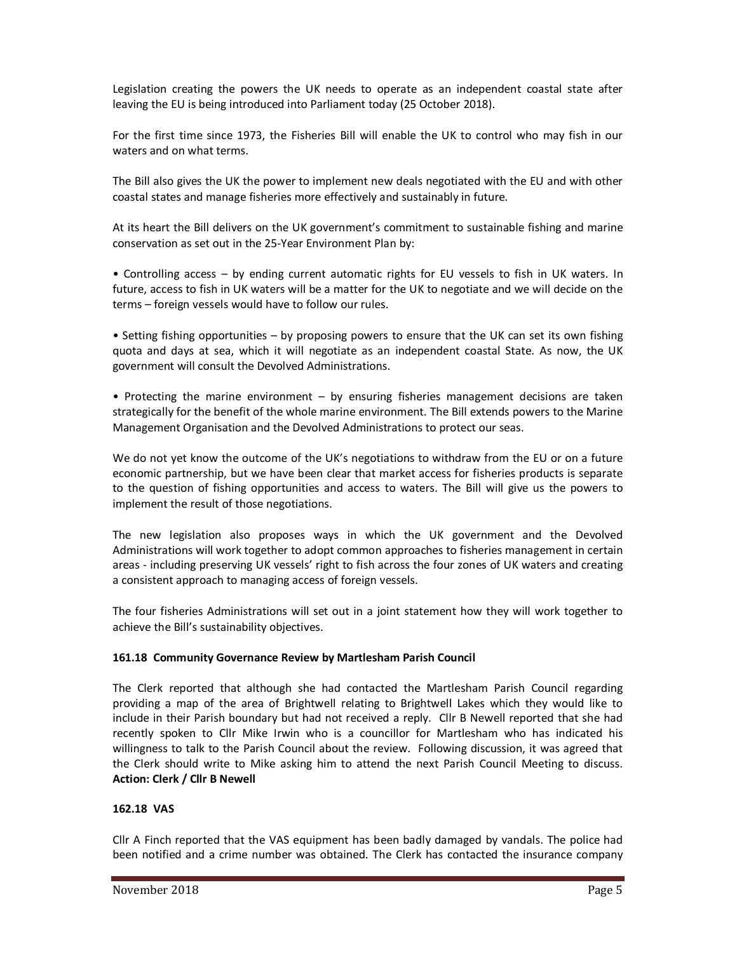Legislation creating the powers the UK needs to operate as an independent coastal state after leaving the EU is being introduced into Parliament today (25 October 2018).

For the first time since 1973, the Fisheries Bill will enable the UK to control who may fish in our waters and on what terms.

The Bill also gives the UK the power to implement new deals negotiated with the EU and with other coastal states and manage fisheries more effectively and sustainably in future.

At its heart the Bill delivers on the UK government's commitment to sustainable fishing and marine conservation as set out in the 25-Year Environment Plan by:

• Controlling access – by ending current automatic rights for EU vessels to fish in UK waters. In future, access to fish in UK waters will be a matter for the UK to negotiate and we will decide on the terms – foreign vessels would have to follow our rules.

• Setting fishing opportunities – by proposing powers to ensure that the UK can set its own fishing quota and days at sea, which it will negotiate as an independent coastal State. As now, the UK government will consult the Devolved Administrations.

• Protecting the marine environment – by ensuring fisheries management decisions are taken strategically for the benefit of the whole marine environment. The Bill extends powers to the Marine Management Organisation and the Devolved Administrations to protect our seas.

We do not yet know the outcome of the UK's negotiations to withdraw from the EU or on a future economic partnership, but we have been clear that market access for fisheries products is separate to the question of fishing opportunities and access to waters. The Bill will give us the powers to implement the result of those negotiations.

The new legislation also proposes ways in which the UK government and the Devolved Administrations will work together to adopt common approaches to fisheries management in certain areas - including preserving UK vessels' right to fish across the four zones of UK waters and creating a consistent approach to managing access of foreign vessels.

The four fisheries Administrations will set out in a joint statement how they will work together to achieve the Bill's sustainability objectives.

# **161.18 Community Governance Review by Martlesham Parish Council**

The Clerk reported that although she had contacted the Martlesham Parish Council regarding providing a map of the area of Brightwell relating to Brightwell Lakes which they would like to include in their Parish boundary but had not received a reply. Cllr B Newell reported that she had recently spoken to Cllr Mike Irwin who is a councillor for Martlesham who has indicated his willingness to talk to the Parish Council about the review. Following discussion, it was agreed that the Clerk should write to Mike asking him to attend the next Parish Council Meeting to discuss. **Action: Clerk / Cllr B Newell** 

# **162.18 VAS**

Cllr A Finch reported that the VAS equipment has been badly damaged by vandals. The police had been notified and a crime number was obtained. The Clerk has contacted the insurance company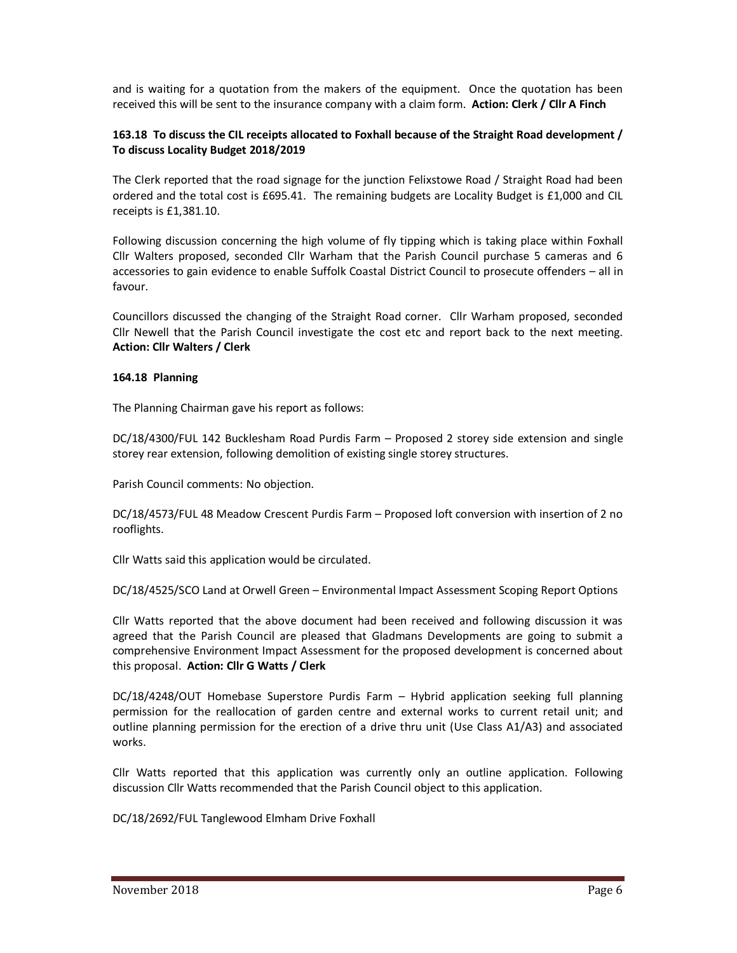and is waiting for a quotation from the makers of the equipment. Once the quotation has been received this will be sent to the insurance company with a claim form. **Action: Clerk / Cllr A Finch** 

# **163.18 To discuss the CIL receipts allocated to Foxhall because of the Straight Road development / To discuss Locality Budget 2018/2019**

The Clerk reported that the road signage for the junction Felixstowe Road / Straight Road had been ordered and the total cost is £695.41. The remaining budgets are Locality Budget is £1,000 and CIL receipts is £1,381.10.

Following discussion concerning the high volume of fly tipping which is taking place within Foxhall Cllr Walters proposed, seconded Cllr Warham that the Parish Council purchase 5 cameras and 6 accessories to gain evidence to enable Suffolk Coastal District Council to prosecute offenders – all in favour.

Councillors discussed the changing of the Straight Road corner. Cllr Warham proposed, seconded Cllr Newell that the Parish Council investigate the cost etc and report back to the next meeting. **Action: Cllr Walters / Clerk**

## **164.18 Planning**

The Planning Chairman gave his report as follows:

DC/18/4300/FUL 142 Bucklesham Road Purdis Farm – Proposed 2 storey side extension and single storey rear extension, following demolition of existing single storey structures.

Parish Council comments: No objection.

DC/18/4573/FUL 48 Meadow Crescent Purdis Farm – Proposed loft conversion with insertion of 2 no rooflights.

Cllr Watts said this application would be circulated.

DC/18/4525/SCO Land at Orwell Green – Environmental Impact Assessment Scoping Report Options

Cllr Watts reported that the above document had been received and following discussion it was agreed that the Parish Council are pleased that Gladmans Developments are going to submit a comprehensive Environment Impact Assessment for the proposed development is concerned about this proposal. **Action: Cllr G Watts / Clerk**

DC/18/4248/OUT Homebase Superstore Purdis Farm – Hybrid application seeking full planning permission for the reallocation of garden centre and external works to current retail unit; and outline planning permission for the erection of a drive thru unit (Use Class A1/A3) and associated works.

Cllr Watts reported that this application was currently only an outline application. Following discussion Cllr Watts recommended that the Parish Council object to this application.

DC/18/2692/FUL Tanglewood Elmham Drive Foxhall